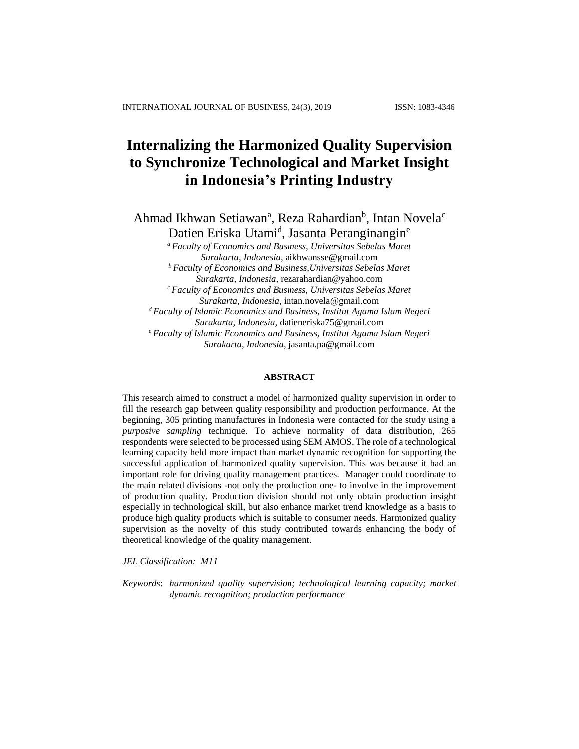# **Internalizing the Harmonized Quality Supervision to Synchronize Technological and Market Insight in Indonesia's Printing Industry**

Ahmad Ikhwan Setiawan<sup>a</sup>, Reza Rahardian<sup>b</sup>, Intan Novela<sup>c</sup>

Datien Eriska Utami<sup>d</sup>, Jasanta Peranginangin<sup>e</sup>

*<sup>a</sup> Faculty of Economics and Business, Universitas Sebelas Maret Surakarta, Indonesia,* aikhwansse@gmail.com *<sup>b</sup> Faculty of Economics and Business,Universitas Sebelas Maret Surakarta, Indonesia,* rezarahardian@yahoo.com *<sup>c</sup> Faculty of Economics and Business, Universitas Sebelas Maret Surakarta, Indonesia,* intan.novela@gmail.com *<sup>d</sup> Faculty of Islamic Economics and Business, Institut Agama Islam Negeri Surakarta, Indonesia,* datieneriska75@gmail.com

*<sup>e</sup> Faculty of Islamic Economics and Business, Institut Agama Islam Negeri Surakarta, Indonesia,* jasanta.pa@gmail.com

## **ABSTRACT**

This research aimed to construct a model of harmonized quality supervision in order to fill the research gap between quality responsibility and production performance. At the beginning, 305 printing manufactures in Indonesia were contacted for the study using a *purposive sampling* technique. To achieve normality of data distribution, 265 respondents were selected to be processed using SEM AMOS. The role of a technological learning capacity held more impact than market dynamic recognition for supporting the successful application of harmonized quality supervision. This was because it had an important role for driving quality management practices. Manager could coordinate to the main related divisions -not only the production one- to involve in the improvement of production quality. Production division should not only obtain production insight especially in technological skill, but also enhance market trend knowledge as a basis to produce high quality products which is suitable to consumer needs. Harmonized quality supervision as the novelty of this study contributed towards enhancing the body of theoretical knowledge of the quality management.

*JEL Classification: M11*

*Keywords*: *harmonized quality supervision; technological learning capacity; market dynamic recognition; production performance*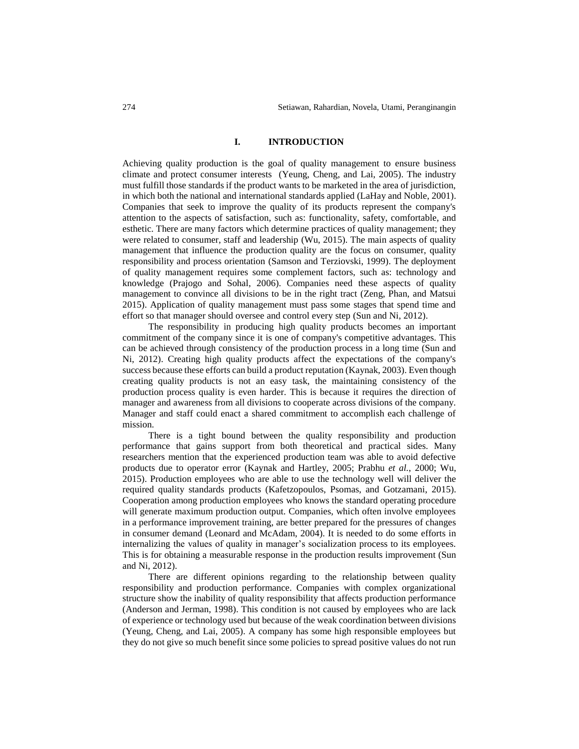#### **I. INTRODUCTION**

Achieving quality production is the goal of quality management to ensure business climate and protect consumer interests (Yeung, Cheng, and Lai, 2005). The industry must fulfill those standards if the product wants to be marketed in the area of jurisdiction, in which both the national and international standards applied (LaHay and Noble, 2001). Companies that seek to improve the quality of its products represent the company's attention to the aspects of satisfaction, such as: functionality, safety, comfortable, and esthetic. There are many factors which determine practices of quality management; they were related to consumer, staff and leadership (Wu, 2015). The main aspects of quality management that influence the production quality are the focus on consumer, quality responsibility and process orientation (Samson and Terziovski, 1999). The deployment of quality management requires some complement factors, such as: technology and knowledge (Prajogo and Sohal, 2006). Companies need these aspects of quality management to convince all divisions to be in the right tract (Zeng, Phan, and Matsui 2015). Application of quality management must pass some stages that spend time and effort so that manager should oversee and control every step (Sun and Ni, 2012).

The responsibility in producing high quality products becomes an important commitment of the company since it is one of company's competitive advantages. This can be achieved through consistency of the production process in a long time (Sun and Ni, 2012). Creating high quality products affect the expectations of the company's success because these efforts can build a product reputation (Kaynak, 2003). Even though creating quality products is not an easy task, the maintaining consistency of the production process quality is even harder. This is because it requires the direction of manager and awareness from all divisions to cooperate across divisions of the company. Manager and staff could enact a shared commitment to accomplish each challenge of mission.

There is a tight bound between the quality responsibility and production performance that gains support from both theoretical and practical sides. Many researchers mention that the experienced production team was able to avoid defective products due to operator error (Kaynak and Hartley, 2005; Prabhu *et al.*, 2000; Wu, 2015). Production employees who are able to use the technology well will deliver the required quality standards products (Kafetzopoulos, Psomas, and Gotzamani, 2015). Cooperation among production employees who knows the standard operating procedure will generate maximum production output. Companies, which often involve employees in a performance improvement training, are better prepared for the pressures of changes in consumer demand (Leonard and McAdam, 2004). It is needed to do some efforts in internalizing the values of quality in manager's socialization process to its employees. This is for obtaining a measurable response in the production results improvement (Sun and Ni, 2012).

There are different opinions regarding to the relationship between quality responsibility and production performance. Companies with complex organizational structure show the inability of quality responsibility that affects production performance (Anderson and Jerman, 1998). This condition is not caused by employees who are lack of experience or technology used but because of the weak coordination between divisions (Yeung, Cheng, and Lai, 2005). A company has some high responsible employees but they do not give so much benefit since some policies to spread positive values do not run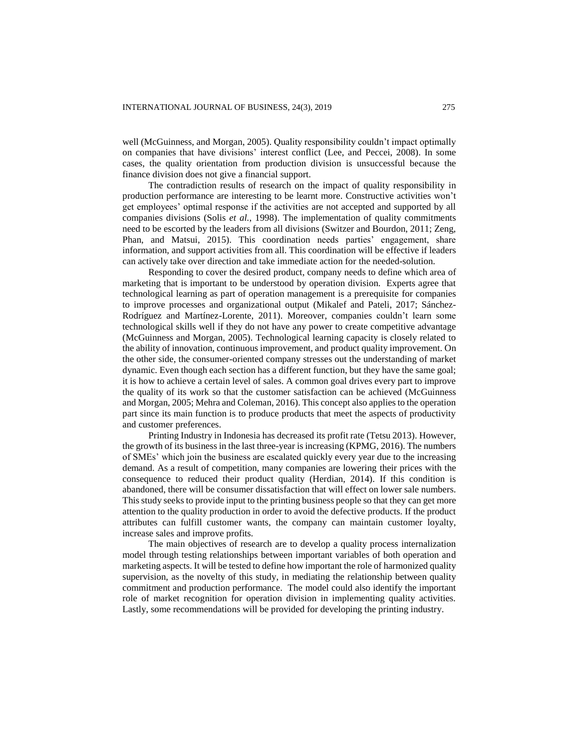well (McGuinness, and Morgan, 2005). Quality responsibility couldn't impact optimally on companies that have divisions' interest conflict (Lee, and Peccei, 2008). In some cases, the quality orientation from production division is unsuccessful because the finance division does not give a financial support.

The contradiction results of research on the impact of quality responsibility in production performance are interesting to be learnt more. Constructive activities won't get employees' optimal response if the activities are not accepted and supported by all companies divisions (Solis *et al.*, 1998). The implementation of quality commitments need to be escorted by the leaders from all divisions (Switzer and Bourdon, 2011; Zeng, Phan, and Matsui, 2015). This coordination needs parties' engagement, share information, and support activities from all. This coordination will be effective if leaders can actively take over direction and take immediate action for the needed-solution.

Responding to cover the desired product, company needs to define which area of marketing that is important to be understood by operation division. Experts agree that technological learning as part of operation management is a prerequisite for companies to improve processes and organizational output (Mikalef and Pateli, 2017; Sánchez-Rodríguez and Martínez-Lorente, 2011). Moreover, companies couldn't learn some technological skills well if they do not have any power to create competitive advantage (McGuinness and Morgan, 2005). Technological learning capacity is closely related to the ability of innovation, continuous improvement, and product quality improvement. On the other side, the consumer-oriented company stresses out the understanding of market dynamic. Even though each section has a different function, but they have the same goal; it is how to achieve a certain level of sales. A common goal drives every part to improve the quality of its work so that the customer satisfaction can be achieved (McGuinness and Morgan, 2005; Mehra and Coleman, 2016). This concept also applies to the operation part since its main function is to produce products that meet the aspects of productivity and customer preferences.

Printing Industry in Indonesia has decreased its profit rate (Tetsu 2013). However, the growth of its business in the last three-year is increasing (KPMG, 2016). The numbers of SMEs' which join the business are escalated quickly every year due to the increasing demand. As a result of competition, many companies are lowering their prices with the consequence to reduced their product quality (Herdian, 2014). If this condition is abandoned, there will be consumer dissatisfaction that will effect on lower sale numbers. This study seeks to provide input to the printing business people so that they can get more attention to the quality production in order to avoid the defective products. If the product attributes can fulfill customer wants, the company can maintain customer loyalty, increase sales and improve profits.

The main objectives of research are to develop a quality process internalization model through testing relationships between important variables of both operation and marketing aspects. It will be tested to define how important the role of harmonized quality supervision, as the novelty of this study, in mediating the relationship between quality commitment and production performance. The model could also identify the important role of market recognition for operation division in implementing quality activities. Lastly, some recommendations will be provided for developing the printing industry.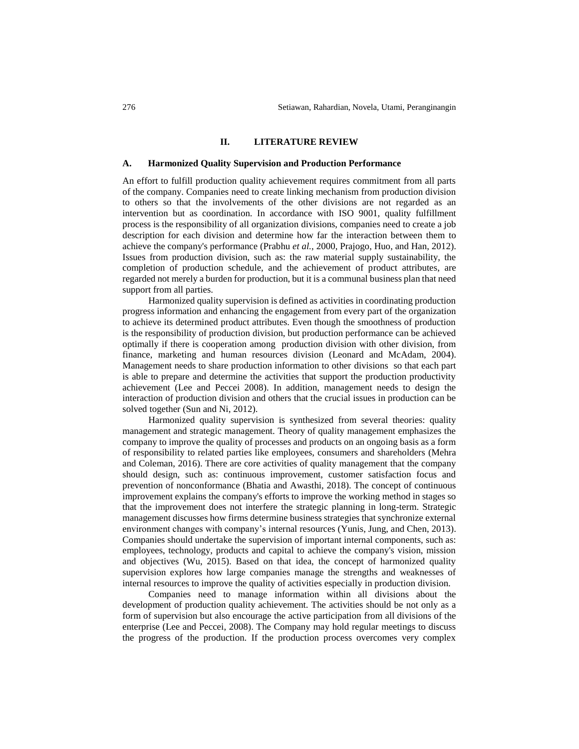#### **II. LITERATURE REVIEW**

#### **A. Harmonized Quality Supervision and Production Performance**

An effort to fulfill production quality achievement requires commitment from all parts of the company. Companies need to create linking mechanism from production division to others so that the involvements of the other divisions are not regarded as an intervention but as coordination. In accordance with ISO 9001, quality fulfillment process is the responsibility of all organization divisions, companies need to create a job description for each division and determine how far the interaction between them to achieve the company's performance (Prabhu *et al.*, 2000, Prajogo, Huo, and Han, 2012). Issues from production division, such as: the raw material supply sustainability, the completion of production schedule, and the achievement of product attributes, are regarded not merely a burden for production, but it is a communal business plan that need support from all parties.

Harmonized quality supervision is defined as activities in coordinating production progress information and enhancing the engagement from every part of the organization to achieve its determined product attributes. Even though the smoothness of production is the responsibility of production division, but production performance can be achieved optimally if there is cooperation among production division with other division, from finance, marketing and human resources division (Leonard and McAdam, 2004). Management needs to share production information to other divisions so that each part is able to prepare and determine the activities that support the production productivity achievement (Lee and Peccei 2008). In addition, management needs to design the interaction of production division and others that the crucial issues in production can be solved together (Sun and Ni, 2012).

Harmonized quality supervision is synthesized from several theories: quality management and strategic management. Theory of quality management emphasizes the company to improve the quality of processes and products on an ongoing basis as a form of responsibility to related parties like employees, consumers and shareholders (Mehra and Coleman, 2016). There are core activities of quality management that the company should design, such as: continuous improvement, customer satisfaction focus and prevention of nonconformance (Bhatia and Awasthi, 2018). The concept of continuous improvement explains the company's efforts to improve the working method in stages so that the improvement does not interfere the strategic planning in long-term. Strategic management discusses how firms determine business strategies that synchronize external environment changes with company's internal resources (Yunis, Jung, and Chen, 2013). Companies should undertake the supervision of important internal components, such as: employees, technology, products and capital to achieve the company's vision, mission and objectives (Wu, 2015). Based on that idea, the concept of harmonized quality supervision explores how large companies manage the strengths and weaknesses of internal resources to improve the quality of activities especially in production division.

Companies need to manage information within all divisions about the development of production quality achievement. The activities should be not only as a form of supervision but also encourage the active participation from all divisions of the enterprise (Lee and Peccei, 2008). The Company may hold regular meetings to discuss the progress of the production. If the production process overcomes very complex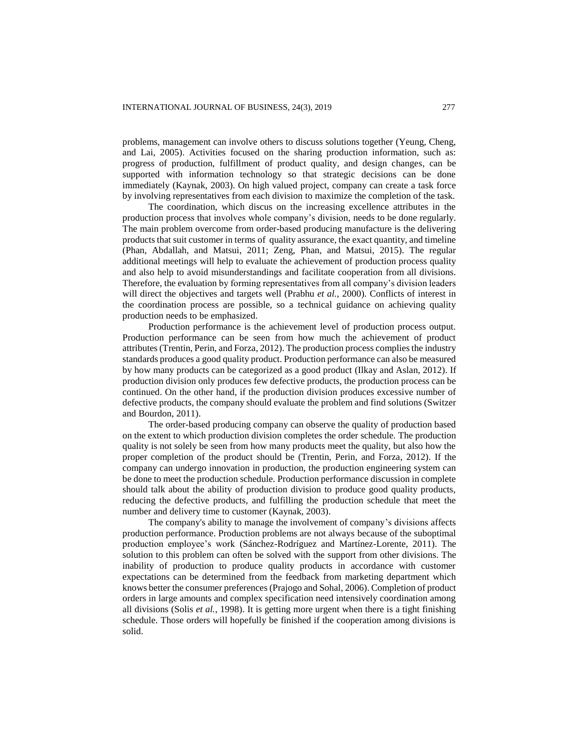problems, management can involve others to discuss solutions together (Yeung, Cheng, and Lai, 2005). Activities focused on the sharing production information, such as: progress of production, fulfillment of product quality, and design changes, can be supported with information technology so that strategic decisions can be done immediately (Kaynak, 2003). On high valued project, company can create a task force by involving representatives from each division to maximize the completion of the task.

The coordination, which discus on the increasing excellence attributes in the production process that involves whole company's division, needs to be done regularly. The main problem overcome from order-based producing manufacture is the delivering products that suit customer in terms of quality assurance, the exact quantity, and timeline (Phan, Abdallah, and Matsui, 2011; Zeng, Phan, and Matsui, 2015). The regular additional meetings will help to evaluate the achievement of production process quality and also help to avoid misunderstandings and facilitate cooperation from all divisions. Therefore, the evaluation by forming representatives from all company's division leaders will direct the objectives and targets well (Prabhu *et al.*, 2000). Conflicts of interest in the coordination process are possible, so a technical guidance on achieving quality production needs to be emphasized.

Production performance is the achievement level of production process output. Production performance can be seen from how much the achievement of product attributes (Trentin, Perin, and Forza, 2012). The production process complies the industry standards produces a good quality product. Production performance can also be measured by how many products can be categorized as a good product (Ilkay and Aslan, 2012). If production division only produces few defective products, the production process can be continued. On the other hand, if the production division produces excessive number of defective products, the company should evaluate the problem and find solutions (Switzer and Bourdon, 2011).

The order-based producing company can observe the quality of production based on the extent to which production division completes the order schedule. The production quality is not solely be seen from how many products meet the quality, but also how the proper completion of the product should be (Trentin, Perin, and Forza, 2012). If the company can undergo innovation in production, the production engineering system can be done to meet the production schedule. Production performance discussion in complete should talk about the ability of production division to produce good quality products, reducing the defective products, and fulfilling the production schedule that meet the number and delivery time to customer (Kaynak, 2003).

The company's ability to manage the involvement of company's divisions affects production performance. Production problems are not always because of the suboptimal production employee's work (Sánchez-Rodríguez and Martínez-Lorente, 2011). The solution to this problem can often be solved with the support from other divisions. The inability of production to produce quality products in accordance with customer expectations can be determined from the feedback from marketing department which knows better the consumer preferences (Prajogo and Sohal, 2006). Completion of product orders in large amounts and complex specification need intensively coordination among all divisions (Solis *et al.*, 1998). It is getting more urgent when there is a tight finishing schedule. Those orders will hopefully be finished if the cooperation among divisions is solid.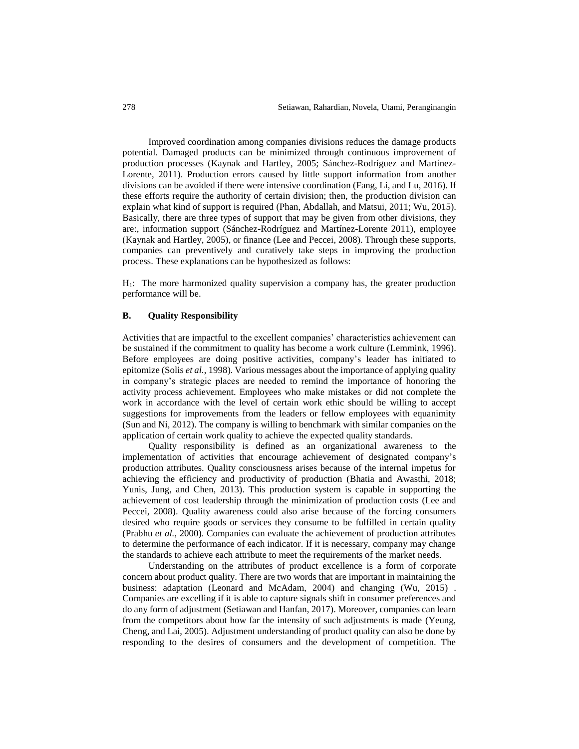Improved coordination among companies divisions reduces the damage products potential. Damaged products can be minimized through continuous improvement of production processes (Kaynak and Hartley, 2005; Sánchez-Rodríguez and Martínez-Lorente, 2011). Production errors caused by little support information from another divisions can be avoided if there were intensive coordination (Fang, Li, and Lu, 2016). If these efforts require the authority of certain division; then, the production division can explain what kind of support is required (Phan, Abdallah, and Matsui, 2011; Wu, 2015). Basically, there are three types of support that may be given from other divisions, they are:, information support (Sánchez-Rodríguez and Martínez-Lorente 2011), employee (Kaynak and Hartley, 2005), or finance (Lee and Peccei, 2008). Through these supports, companies can preventively and curatively take steps in improving the production process. These explanations can be hypothesized as follows:

H1: The more harmonized quality supervision a company has, the greater production performance will be.

## **B. Quality Responsibility**

Activities that are impactful to the excellent companies' characteristics achievement can be sustained if the commitment to quality has become a work culture (Lemmink, 1996). Before employees are doing positive activities, company's leader has initiated to epitomize (Solis *et al.*, 1998). Various messages about the importance of applying quality in company's strategic places are needed to remind the importance of honoring the activity process achievement. Employees who make mistakes or did not complete the work in accordance with the level of certain work ethic should be willing to accept suggestions for improvements from the leaders or fellow employees with equanimity (Sun and Ni, 2012). The company is willing to benchmark with similar companies on the application of certain work quality to achieve the expected quality standards.

Quality responsibility is defined as an organizational awareness to the implementation of activities that encourage achievement of designated company's production attributes. Quality consciousness arises because of the internal impetus for achieving the efficiency and productivity of production (Bhatia and Awasthi, 2018; Yunis, Jung, and Chen, 2013). This production system is capable in supporting the achievement of cost leadership through the minimization of production costs (Lee and Peccei, 2008). Quality awareness could also arise because of the forcing consumers desired who require goods or services they consume to be fulfilled in certain quality (Prabhu *et al.*, 2000). Companies can evaluate the achievement of production attributes to determine the performance of each indicator. If it is necessary, company may change the standards to achieve each attribute to meet the requirements of the market needs.

Understanding on the attributes of product excellence is a form of corporate concern about product quality. There are two words that are important in maintaining the business: adaptation (Leonard and McAdam, 2004) and changing (Wu, 2015) . Companies are excelling if it is able to capture signals shift in consumer preferences and do any form of adjustment (Setiawan and Hanfan, 2017). Moreover, companies can learn from the competitors about how far the intensity of such adjustments is made (Yeung, Cheng, and Lai, 2005). Adjustment understanding of product quality can also be done by responding to the desires of consumers and the development of competition. The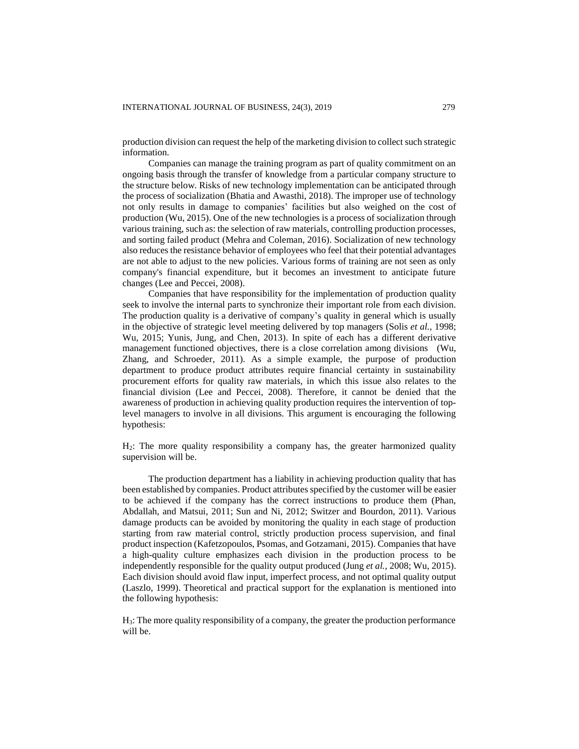production division can request the help of the marketing division to collect such strategic information.

Companies can manage the training program as part of quality commitment on an ongoing basis through the transfer of knowledge from a particular company structure to the structure below. Risks of new technology implementation can be anticipated through the process of socialization (Bhatia and Awasthi, 2018). The improper use of technology not only results in damage to companies' facilities but also weighed on the cost of production (Wu, 2015). One of the new technologies is a process of socialization through various training, such as: the selection of raw materials, controlling production processes, and sorting failed product (Mehra and Coleman, 2016). Socialization of new technology also reduces the resistance behavior of employees who feel that their potential advantages are not able to adjust to the new policies. Various forms of training are not seen as only company's financial expenditure, but it becomes an investment to anticipate future changes (Lee and Peccei, 2008).

Companies that have responsibility for the implementation of production quality seek to involve the internal parts to synchronize their important role from each division. The production quality is a derivative of company's quality in general which is usually in the objective of strategic level meeting delivered by top managers (Solis *et al.*, 1998; Wu, 2015; Yunis, Jung, and Chen, 2013). In spite of each has a different derivative management functioned objectives, there is a close correlation among divisions (Wu, Zhang, and Schroeder, 2011). As a simple example, the purpose of production department to produce product attributes require financial certainty in sustainability procurement efforts for quality raw materials, in which this issue also relates to the financial division (Lee and Peccei, 2008). Therefore, it cannot be denied that the awareness of production in achieving quality production requires the intervention of toplevel managers to involve in all divisions. This argument is encouraging the following hypothesis:

H2: The more quality responsibility a company has, the greater harmonized quality supervision will be.

The production department has a liability in achieving production quality that has been established by companies. Product attributes specified by the customer will be easier to be achieved if the company has the correct instructions to produce them (Phan, Abdallah, and Matsui, 2011; Sun and Ni, 2012; Switzer and Bourdon, 2011). Various damage products can be avoided by monitoring the quality in each stage of production starting from raw material control, strictly production process supervision, and final product inspection (Kafetzopoulos, Psomas, and Gotzamani, 2015). Companies that have a high-quality culture emphasizes each division in the production process to be independently responsible for the quality output produced (Jung *et al.*, 2008; Wu, 2015). Each division should avoid flaw input, imperfect process, and not optimal quality output (Laszlo, 1999). Theoretical and practical support for the explanation is mentioned into the following hypothesis:

H3: The more quality responsibility of a company, the greater the production performance will be.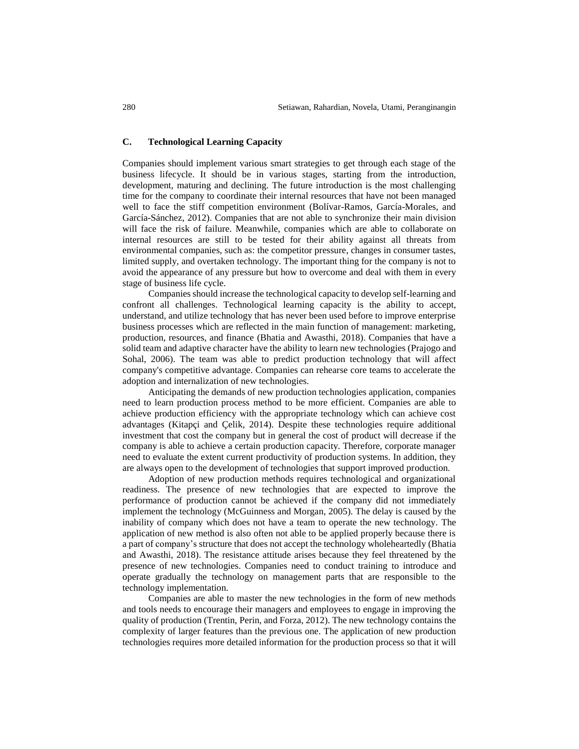## **C. Technological Learning Capacity**

Companies should implement various smart strategies to get through each stage of the business lifecycle. It should be in various stages, starting from the introduction, development, maturing and declining. The future introduction is the most challenging time for the company to coordinate their internal resources that have not been managed well to face the stiff competition environment (Bolívar-Ramos, García-Morales, and García-Sánchez, 2012). Companies that are not able to synchronize their main division will face the risk of failure. Meanwhile, companies which are able to collaborate on internal resources are still to be tested for their ability against all threats from environmental companies, such as: the competitor pressure, changes in consumer tastes, limited supply, and overtaken technology. The important thing for the company is not to avoid the appearance of any pressure but how to overcome and deal with them in every stage of business life cycle.

Companies should increase the technological capacity to develop self-learning and confront all challenges. Technological learning capacity is the ability to accept, understand, and utilize technology that has never been used before to improve enterprise business processes which are reflected in the main function of management: marketing, production, resources, and finance (Bhatia and Awasthi, 2018). Companies that have a solid team and adaptive character have the ability to learn new technologies (Prajogo and Sohal, 2006). The team was able to predict production technology that will affect company's competitive advantage. Companies can rehearse core teams to accelerate the adoption and internalization of new technologies.

Anticipating the demands of new production technologies application, companies need to learn production process method to be more efficient. Companies are able to achieve production efficiency with the appropriate technology which can achieve cost advantages (Kitapçi and Çelik, 2014). Despite these technologies require additional investment that cost the company but in general the cost of product will decrease if the company is able to achieve a certain production capacity. Therefore, corporate manager need to evaluate the extent current productivity of production systems. In addition, they are always open to the development of technologies that support improved production.

Adoption of new production methods requires technological and organizational readiness. The presence of new technologies that are expected to improve the performance of production cannot be achieved if the company did not immediately implement the technology (McGuinness and Morgan, 2005). The delay is caused by the inability of company which does not have a team to operate the new technology. The application of new method is also often not able to be applied properly because there is a part of company's structure that does not accept the technology wholeheartedly (Bhatia and Awasthi, 2018). The resistance attitude arises because they feel threatened by the presence of new technologies. Companies need to conduct training to introduce and operate gradually the technology on management parts that are responsible to the technology implementation.

Companies are able to master the new technologies in the form of new methods and tools needs to encourage their managers and employees to engage in improving the quality of production (Trentin, Perin, and Forza, 2012). The new technology contains the complexity of larger features than the previous one. The application of new production technologies requires more detailed information for the production process so that it will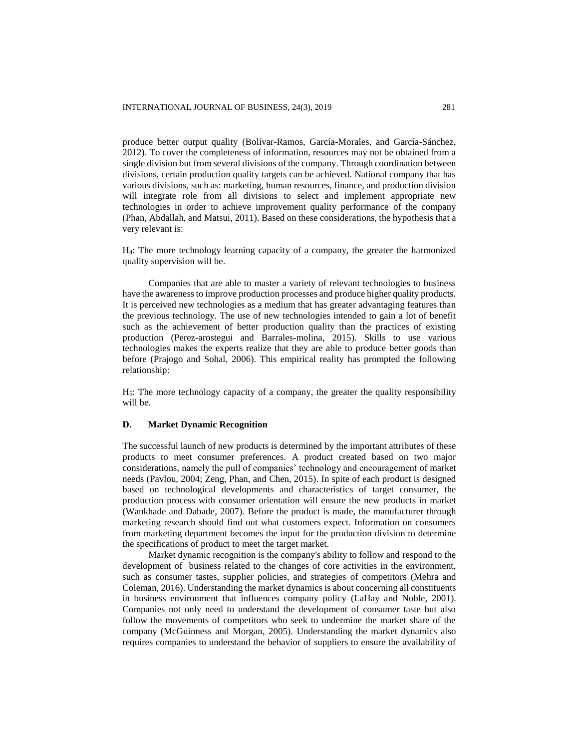produce better output quality (Bolívar-Ramos, García-Morales, and García-Sánchez, 2012). To cover the completeness of information, resources may not be obtained from a single division but from several divisions of the company. Through coordination between divisions, certain production quality targets can be achieved. National company that has various divisions, such as: marketing, human resources, finance, and production division will integrate role from all divisions to select and implement appropriate new technologies in order to achieve improvement quality performance of the company (Phan, Abdallah, and Matsui, 2011). Based on these considerations, the hypothesis that a very relevant is:

H4: The more technology learning capacity of a company, the greater the harmonized quality supervision will be.

Companies that are able to master a variety of relevant technologies to business have the awareness to improve production processes and produce higher quality products. It is perceived new technologies as a medium that has greater advantaging features than the previous technology. The use of new technologies intended to gain a lot of benefit such as the achievement of better production quality than the practices of existing production (Perez-arostegui and Barrales-molina, 2015). Skills to use various technologies makes the experts realize that they are able to produce better goods than before (Prajogo and Sohal, 2006). This empirical reality has prompted the following relationship:

H5: The more technology capacity of a company, the greater the quality responsibility will be.

## **D. Market Dynamic Recognition**

The successful launch of new products is determined by the important attributes of these products to meet consumer preferences. A product created based on two major considerations, namely the pull of companies' technology and encouragement of market needs (Pavlou, 2004; Zeng, Phan, and Chen, 2015). In spite of each product is designed based on technological developments and characteristics of target consumer, the production process with consumer orientation will ensure the new products in market (Wankhade and Dabade, 2007). Before the product is made, the manufacturer through marketing research should find out what customers expect. Information on consumers from marketing department becomes the input for the production division to determine the specifications of product to meet the target market.

Market dynamic recognition is the company's ability to follow and respond to the development of business related to the changes of core activities in the environment, such as consumer tastes, supplier policies, and strategies of competitors (Mehra and Coleman, 2016). Understanding the market dynamics is about concerning all constituents in business environment that influences company policy (LaHay and Noble, 2001). Companies not only need to understand the development of consumer taste but also follow the movements of competitors who seek to undermine the market share of the company (McGuinness and Morgan, 2005). Understanding the market dynamics also requires companies to understand the behavior of suppliers to ensure the availability of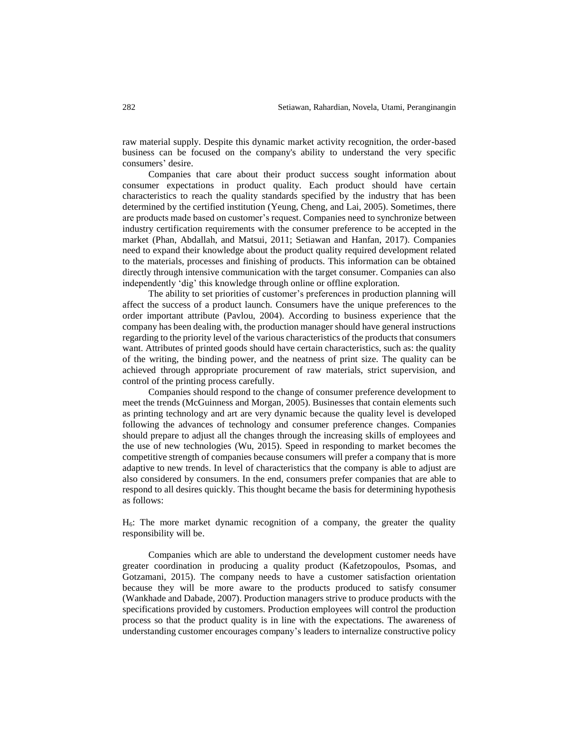raw material supply. Despite this dynamic market activity recognition, the order-based business can be focused on the company's ability to understand the very specific consumers' desire.

Companies that care about their product success sought information about consumer expectations in product quality. Each product should have certain characteristics to reach the quality standards specified by the industry that has been determined by the certified institution (Yeung, Cheng, and Lai, 2005). Sometimes, there are products made based on customer's request. Companies need to synchronize between industry certification requirements with the consumer preference to be accepted in the market (Phan, Abdallah, and Matsui, 2011; Setiawan and Hanfan, 2017). Companies need to expand their knowledge about the product quality required development related to the materials, processes and finishing of products. This information can be obtained directly through intensive communication with the target consumer. Companies can also independently 'dig' this knowledge through online or offline exploration.

The ability to set priorities of customer's preferences in production planning will affect the success of a product launch. Consumers have the unique preferences to the order important attribute (Pavlou, 2004). According to business experience that the company has been dealing with, the production manager should have general instructions regarding to the priority level of the various characteristics of the products that consumers want. Attributes of printed goods should have certain characteristics, such as: the quality of the writing, the binding power, and the neatness of print size. The quality can be achieved through appropriate procurement of raw materials, strict supervision, and control of the printing process carefully.

Companies should respond to the change of consumer preference development to meet the trends (McGuinness and Morgan, 2005). Businesses that contain elements such as printing technology and art are very dynamic because the quality level is developed following the advances of technology and consumer preference changes. Companies should prepare to adjust all the changes through the increasing skills of employees and the use of new technologies (Wu, 2015). Speed in responding to market becomes the competitive strength of companies because consumers will prefer a company that is more adaptive to new trends. In level of characteristics that the company is able to adjust are also considered by consumers. In the end, consumers prefer companies that are able to respond to all desires quickly. This thought became the basis for determining hypothesis as follows:

H6: The more market dynamic recognition of a company, the greater the quality responsibility will be.

Companies which are able to understand the development customer needs have greater coordination in producing a quality product (Kafetzopoulos, Psomas, and Gotzamani, 2015). The company needs to have a customer satisfaction orientation because they will be more aware to the products produced to satisfy consumer (Wankhade and Dabade, 2007). Production managers strive to produce products with the specifications provided by customers. Production employees will control the production process so that the product quality is in line with the expectations. The awareness of understanding customer encourages company's leaders to internalize constructive policy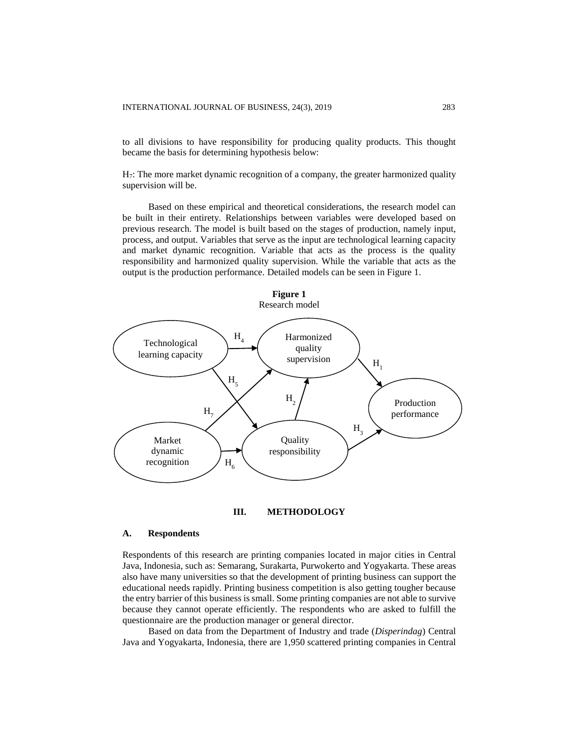to all divisions to have responsibility for producing quality products. This thought became the basis for determining hypothesis below:

H7: The more market dynamic recognition of a company, the greater harmonized quality supervision will be.

Based on these empirical and theoretical considerations, the research model can be built in their entirety. Relationships between variables were developed based on previous research. The model is built based on the stages of production, namely input, process, and output. Variables that serve as the input are technological learning capacity and market dynamic recognition. Variable that acts as the process is the quality responsibility and harmonized quality supervision. While the variable that acts as the output is the production performance. Detailed models can be seen in Figure 1.





#### **A. Respondents**

Respondents of this research are printing companies located in major cities in Central Java, Indonesia, such as: Semarang, Surakarta, Purwokerto and Yogyakarta. These areas also have many universities so that the development of printing business can support the educational needs rapidly. Printing business competition is also getting tougher because the entry barrier of this business is small. Some printing companies are not able to survive because they cannot operate efficiently. The respondents who are asked to fulfill the questionnaire are the production manager or general director.

Based on data from the Department of Industry and trade (*Disperindag*) Central Java and Yogyakarta, Indonesia, there are 1,950 scattered printing companies in Central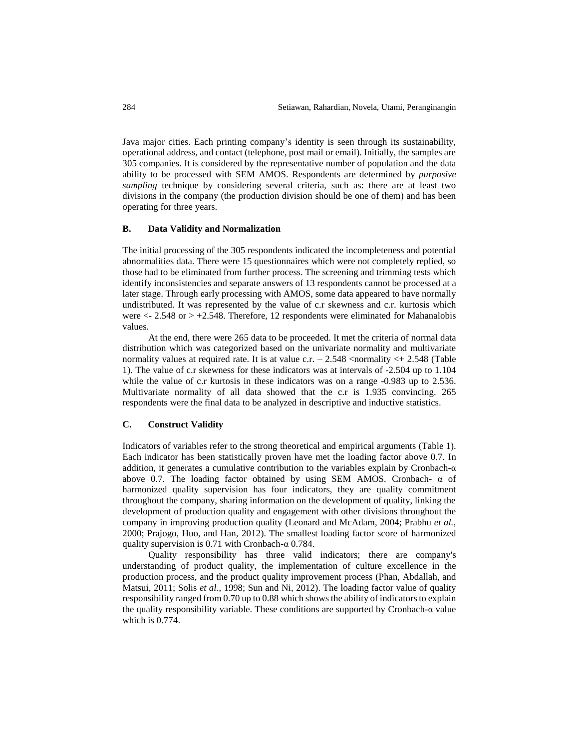Java major cities. Each printing company's identity is seen through its sustainability, operational address, and contact (telephone, post mail or email). Initially, the samples are 305 companies. It is considered by the representative number of population and the data ability to be processed with SEM AMOS. Respondents are determined by *purposive sampling* technique by considering several criteria, such as: there are at least two divisions in the company (the production division should be one of them) and has been operating for three years.

## **B. Data Validity and Normalization**

The initial processing of the 305 respondents indicated the incompleteness and potential abnormalities data. There were 15 questionnaires which were not completely replied, so those had to be eliminated from further process. The screening and trimming tests which identify inconsistencies and separate answers of 13 respondents cannot be processed at a later stage. Through early processing with AMOS, some data appeared to have normally undistributed. It was represented by the value of c.r skewness and c.r. kurtosis which were  $\le$  2.548 or  $>$  +2.548. Therefore, 12 respondents were eliminated for Mahanalobis values.

At the end, there were 265 data to be proceeded. It met the criteria of normal data distribution which was categorized based on the univariate normality and multivariate normality values at required rate. It is at value c.r.  $-2.548$  <normality  $\lt + 2.548$  (Table 1). The value of c.r skewness for these indicators was at intervals of -2.504 up to 1.104 while the value of c.r kurtosis in these indicators was on a range  $-0.983$  up to 2.536. Multivariate normality of all data showed that the c.r is 1.935 convincing. 265 respondents were the final data to be analyzed in descriptive and inductive statistics.

#### **C. Construct Validity**

Indicators of variables refer to the strong theoretical and empirical arguments (Table 1). Each indicator has been statistically proven have met the loading factor above 0.7. In addition, it generates a cumulative contribution to the variables explain by Cronbach-α above 0.7. The loading factor obtained by using SEM AMOS. Cronbach-  $\alpha$  of harmonized quality supervision has four indicators, they are quality commitment throughout the company, sharing information on the development of quality, linking the development of production quality and engagement with other divisions throughout the company in improving production quality (Leonard and McAdam, 2004; Prabhu *et al.*, 2000; Prajogo, Huo, and Han, 2012). The smallest loading factor score of harmonized quality supervision is 0.71 with Cronbach- $\alpha$  0.784.

Quality responsibility has three valid indicators; there are company's understanding of product quality, the implementation of culture excellence in the production process, and the product quality improvement process (Phan, Abdallah, and Matsui, 2011; Solis *et al.*, 1998; Sun and Ni, 2012). The loading factor value of quality responsibility ranged from 0.70 up to 0.88 which shows the ability of indicators to explain the quality responsibility variable. These conditions are supported by Cronbach- $\alpha$  value which is 0.774.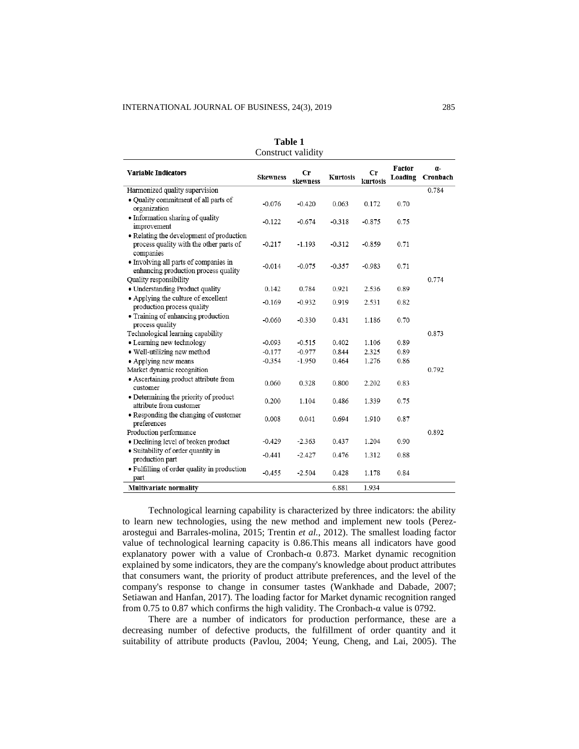|                                                                                                  |                 | <b>Table 1</b>     |                 |                |                          |                        |
|--------------------------------------------------------------------------------------------------|-----------------|--------------------|-----------------|----------------|--------------------------|------------------------|
|                                                                                                  |                 | Construct validity |                 |                |                          |                        |
| <b>Variable Indicators</b>                                                                       | <b>Skewness</b> | Сr<br>skewness     | <b>Kurtosis</b> | Сr<br>kurtosis | <b>Factor</b><br>Loading | $\alpha$ -<br>Cronbach |
| Harmonized quality supervision                                                                   |                 |                    |                 |                |                          | 0.784                  |
| · Quality commitment of all parts of<br>organization                                             | $-0.076$        | $-0.420$           | 0.063           | 0.172          | 0.70                     |                        |
| • Information sharing of quality<br>improvement                                                  | $-0.122$        | $-0.674$           | $-0.318$        | $-0.875$       | 0.75                     |                        |
| · Relating the development of production<br>process quality with the other parts of<br>companies | $-0.217$        | -1.193             | $-0.312$        | $-0.859$       | 0.71                     |                        |
| • Involving all parts of companies in<br>enhancing production process quality                    | $-0.014$        | $-0.075$           | $-0.357$        | $-0.983$       | 0.71                     |                        |
| Quality responsibility                                                                           |                 |                    |                 |                |                          | 0.774                  |
| · Understanding Product quality                                                                  | 0.142           | 0.784              | 0.921           | 2.536          | 0.89                     |                        |
| • Applying the culture of excellent<br>production process quality                                | $-0.169$        | $-0.932$           | 0.919           | 2.531          | 0.82                     |                        |
| · Training of enhancing production<br>process quality                                            | $-0.060$        | $-0.330$           | 0.431           | 1.186          | 0.70                     |                        |
| Technological learning capability                                                                |                 |                    |                 |                |                          | 0.873                  |
| · Learning new technology                                                                        | $-0.093$        | $-0.515$           | 0.402           | 1.106          | 0.89                     |                        |
| · Well-utilizing new method                                                                      | $-0.177$        | $-0.977$           | 0.844           | 2.325          | 0.89                     |                        |
| • Applying new means                                                                             | $-0.354$        | $-1.950$           | 0.464           | 1.276          | 0.86                     |                        |
| Market dynamic recognition                                                                       |                 |                    |                 |                |                          | 0.792                  |
| • Ascertaining product attribute from<br>customer                                                | 0.060           | 0.328              | 0.800           | 2.202          | 0.83                     |                        |
| • Determining the priority of product<br>attribute from customer                                 | 0.200           | 1.104              | 0.486           | 1.339          | 0.75                     |                        |
| · Responding the changing of customer<br>preferences                                             | 0.008           | 0.041              | 0.694           | 1.910          | 0.87                     |                        |
| Production performance                                                                           |                 |                    |                 |                |                          | 0.892                  |
| · Declining level of broken product                                                              | -0.429          | $-2.363$           | 0.437           | 1.204          | 0.90                     |                        |
| · Suitability of order quantity in<br>production part                                            | $-0.441$        | $-2.427$           | 0.476           | 1.312          | 0.88                     |                        |
| · Fulfilling of order quality in production<br>part                                              | $-0.455$        | $-2.504$           | 0.428           | 1.178          | 0.84                     |                        |
| Multivariate normality                                                                           |                 |                    | 6.881           | 1.934          |                          |                        |
|                                                                                                  |                 |                    |                 |                |                          |                        |

Technological learning capability is characterized by three indicators: the ability to learn new technologies, using the new method and implement new tools (Perezarostegui and Barrales-molina, 2015; Trentin *et al.*, 2012). The smallest loading factor value of technological learning capacity is 0.86.This means all indicators have good explanatory power with a value of Cronbach-α 0.873. Market dynamic recognition explained by some indicators, they are the company's knowledge about product attributes that consumers want, the priority of product attribute preferences, and the level of the company's response to change in consumer tastes (Wankhade and Dabade, 2007; Setiawan and Hanfan, 2017). The loading factor for Market dynamic recognition ranged from 0.75 to 0.87 which confirms the high validity. The Cronbach-α value is 0792.

There are a number of indicators for production performance, these are a decreasing number of defective products, the fulfillment of order quantity and it suitability of attribute products (Pavlou, 2004; Yeung, Cheng, and Lai, 2005). The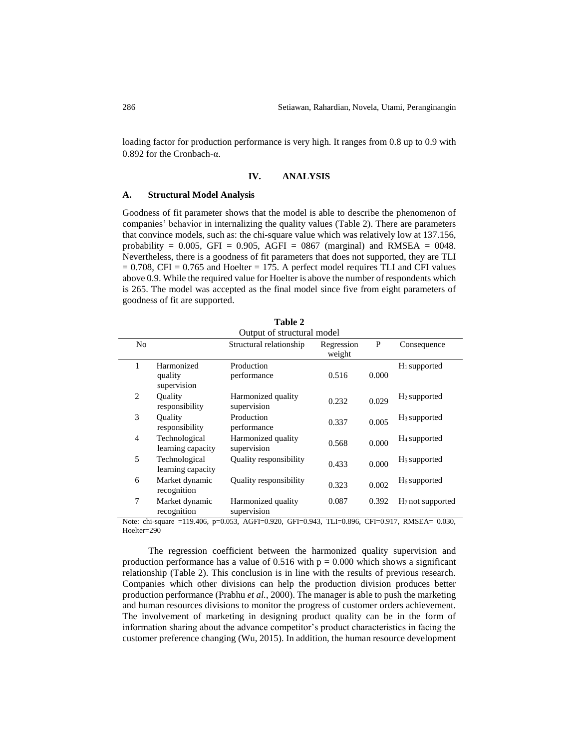loading factor for production performance is very high. It ranges from 0.8 up to 0.9 with 0.892 for the Cronbach-α.

# **IV. ANALYSIS**

## **A. Structural Model Analysis**

Goodness of fit parameter shows that the model is able to describe the phenomenon of companies' behavior in internalizing the quality values (Table 2). There are parameters that convince models, such as: the chi-square value which was relatively low at 137.156, probability =  $0.005$ , GFI =  $0.905$ , AGFI =  $0867$  (marginal) and RMSEA = 0048. Nevertheless, there is a goodness of fit parameters that does not supported, they are TLI  $= 0.708$ , CFI  $= 0.765$  and Hoelter  $= 175$ . A perfect model requires TLI and CFI values above 0.9. While the required value for Hoelter is above the number of respondents which is 265. The model was accepted as the final model since five from eight parameters of goodness of fit are supported.

| Output of structural model |                                      |                                   |                      |       |                              |  |  |
|----------------------------|--------------------------------------|-----------------------------------|----------------------|-------|------------------------------|--|--|
| N <sub>0</sub>             |                                      | Structural relationship           | Regression<br>weight | P     | Consequence                  |  |  |
| 1                          | Harmonized<br>quality<br>supervision | Production<br>performance         | 0.516                | 0.000 | $H_1$ supported              |  |  |
| 2                          | <b>Ouality</b><br>responsibility     | Harmonized quality<br>supervision | 0.232                | 0.029 | $H_2$ supported              |  |  |
| 3                          | Ouality<br>responsibility            | Production<br>performance         | 0.337                | 0.005 | $H_3$ supported              |  |  |
| $\overline{4}$             | Technological<br>learning capacity   | Harmonized quality<br>supervision | 0.568                | 0.000 | H <sub>4</sub> supported     |  |  |
| 5                          | Technological<br>learning capacity   | Quality responsibility            | 0.433                | 0.000 | H <sub>5</sub> supported     |  |  |
| 6                          | Market dynamic<br>recognition        | Quality responsibility            | 0.323                | 0.002 | $H_6$ supported              |  |  |
| 7                          | Market dynamic<br>recognition        | Harmonized quality<br>supervision | 0.087                | 0.392 | H <sub>7</sub> not supported |  |  |

| Table 2 |  |
|---------|--|
|         |  |

Note: chi-square =119.406, p=0.053, AGFI=0.920, GFI=0.943, TLI=0.896, CFI=0.917, RMSEA= 0.030, Hoelter=290

The regression coefficient between the harmonized quality supervision and production performance has a value of  $0.516$  with  $p = 0.000$  which shows a significant relationship (Table 2). This conclusion is in line with the results of previous research. Companies which other divisions can help the production division produces better production performance (Prabhu *et al.*, 2000). The manager is able to push the marketing and human resources divisions to monitor the progress of customer orders achievement. The involvement of marketing in designing product quality can be in the form of information sharing about the advance competitor's product characteristics in facing the customer preference changing (Wu, 2015). In addition, the human resource development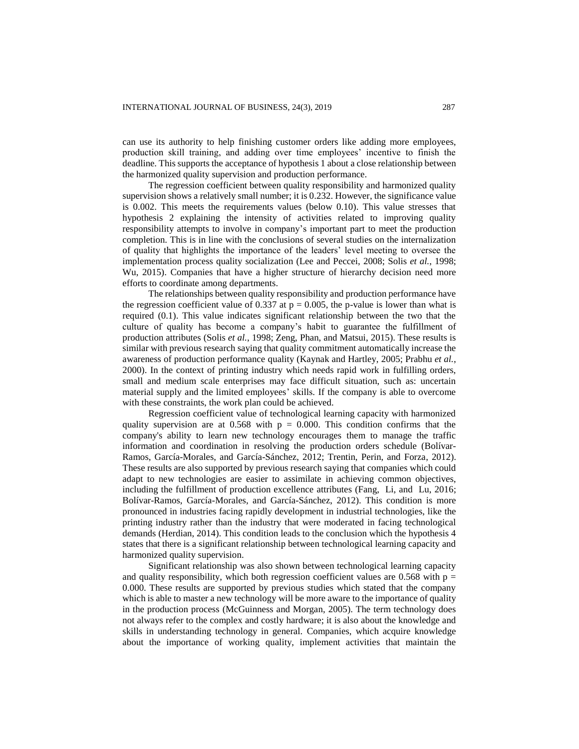can use its authority to help finishing customer orders like adding more employees, production skill training, and adding over time employees' incentive to finish the deadline. This supports the acceptance of hypothesis 1 about a close relationship between the harmonized quality supervision and production performance.

The regression coefficient between quality responsibility and harmonized quality supervision shows a relatively small number; it is 0.232. However, the significance value is 0.002. This meets the requirements values (below 0.10). This value stresses that hypothesis 2 explaining the intensity of activities related to improving quality responsibility attempts to involve in company's important part to meet the production completion. This is in line with the conclusions of several studies on the internalization of quality that highlights the importance of the leaders' level meeting to oversee the implementation process quality socialization (Lee and Peccei, 2008; Solis *et al.*, 1998; Wu, 2015). Companies that have a higher structure of hierarchy decision need more efforts to coordinate among departments.

The relationships between quality responsibility and production performance have the regression coefficient value of 0.337 at  $p = 0.005$ , the p-value is lower than what is required (0.1). This value indicates significant relationship between the two that the culture of quality has become a company's habit to guarantee the fulfillment of production attributes (Solis *et al.*, 1998; Zeng, Phan, and Matsui, 2015). These results is similar with previous research saying that quality commitment automatically increase the awareness of production performance quality (Kaynak and Hartley, 2005; Prabhu *et al.*, 2000). In the context of printing industry which needs rapid work in fulfilling orders, small and medium scale enterprises may face difficult situation, such as: uncertain material supply and the limited employees' skills. If the company is able to overcome with these constraints, the work plan could be achieved.

Regression coefficient value of technological learning capacity with harmonized quality supervision are at 0.568 with  $p = 0.000$ . This condition confirms that the company's ability to learn new technology encourages them to manage the traffic information and coordination in resolving the production orders schedule (Bolívar-Ramos, García-Morales, and García-Sánchez, 2012; Trentin, Perin, and Forza, 2012). These results are also supported by previous research saying that companies which could adapt to new technologies are easier to assimilate in achieving common objectives, including the fulfillment of production excellence attributes (Fang, Li, and Lu, 2016; Bolívar-Ramos, García-Morales, and García-Sánchez, 2012). This condition is more pronounced in industries facing rapidly development in industrial technologies, like the printing industry rather than the industry that were moderated in facing technological demands (Herdian, 2014). This condition leads to the conclusion which the hypothesis 4 states that there is a significant relationship between technological learning capacity and harmonized quality supervision.

Significant relationship was also shown between technological learning capacity and quality responsibility, which both regression coefficient values are 0.568 with  $p =$ 0.000. These results are supported by previous studies which stated that the company which is able to master a new technology will be more aware to the importance of quality in the production process (McGuinness and Morgan, 2005). The term technology does not always refer to the complex and costly hardware; it is also about the knowledge and skills in understanding technology in general. Companies, which acquire knowledge about the importance of working quality, implement activities that maintain the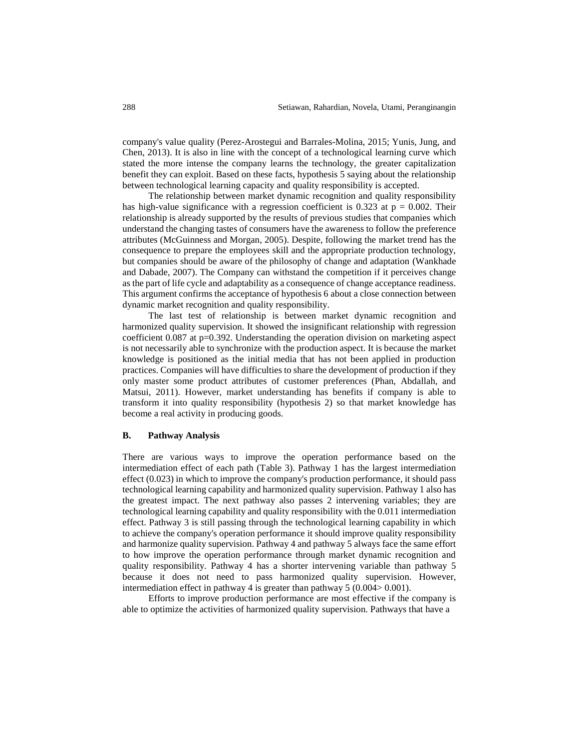company's value quality (Perez-Arostegui and Barrales-Molina, 2015; Yunis, Jung, and Chen, 2013). It is also in line with the concept of a technological learning curve which stated the more intense the company learns the technology, the greater capitalization benefit they can exploit. Based on these facts, hypothesis 5 saying about the relationship between technological learning capacity and quality responsibility is accepted.

The relationship between market dynamic recognition and quality responsibility has high-value significance with a regression coefficient is 0.323 at  $p = 0.002$ . Their relationship is already supported by the results of previous studies that companies which understand the changing tastes of consumers have the awareness to follow the preference attributes (McGuinness and Morgan, 2005). Despite, following the market trend has the consequence to prepare the employees skill and the appropriate production technology, but companies should be aware of the philosophy of change and adaptation (Wankhade and Dabade, 2007). The Company can withstand the competition if it perceives change as the part of life cycle and adaptability as a consequence of change acceptance readiness. This argument confirms the acceptance of hypothesis 6 about a close connection between dynamic market recognition and quality responsibility.

The last test of relationship is between market dynamic recognition and harmonized quality supervision. It showed the insignificant relationship with regression coefficient 0.087 at p=0.392. Understanding the operation division on marketing aspect is not necessarily able to synchronize with the production aspect. It is because the market knowledge is positioned as the initial media that has not been applied in production practices. Companies will have difficulties to share the development of production if they only master some product attributes of customer preferences (Phan, Abdallah, and Matsui, 2011). However, market understanding has benefits if company is able to transform it into quality responsibility (hypothesis 2) so that market knowledge has become a real activity in producing goods.

#### **B. Pathway Analysis**

There are various ways to improve the operation performance based on the intermediation effect of each path (Table 3). Pathway 1 has the largest intermediation effect (0.023) in which to improve the company's production performance, it should pass technological learning capability and harmonized quality supervision. Pathway 1 also has the greatest impact. The next pathway also passes 2 intervening variables; they are technological learning capability and quality responsibility with the 0.011 intermediation effect. Pathway 3 is still passing through the technological learning capability in which to achieve the company's operation performance it should improve quality responsibility and harmonize quality supervision. Pathway 4 and pathway 5 always face the same effort to how improve the operation performance through market dynamic recognition and quality responsibility. Pathway 4 has a shorter intervening variable than pathway 5 because it does not need to pass harmonized quality supervision. However, intermediation effect in pathway 4 is greater than pathway 5 (0.004> 0.001).

Efforts to improve production performance are most effective if the company is able to optimize the activities of harmonized quality supervision. Pathways that have a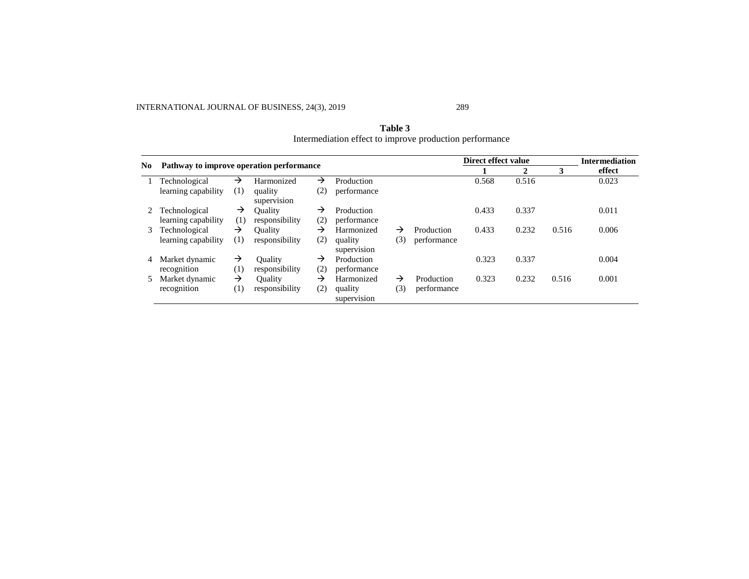INTERNATIONAL JOURNAL OF BUSINESS, 24(3), 2019 289

|    |                                          |     |                        |               | Direct effect value    |     |             | <b>Intermediation</b> |        |       |       |
|----|------------------------------------------|-----|------------------------|---------------|------------------------|-----|-------------|-----------------------|--------|-------|-------|
| No | Pathway to improve operation performance |     |                        |               |                        |     | 2           | 3                     | effect |       |       |
|    | Technological                            | →   | Harmonized             | $\rightarrow$ | Production             |     |             | 0.568                 | 0.516  |       | 0.023 |
|    | learning capability                      | (1) | quality<br>supervision | (2)           | performance            |     |             |                       |        |       |       |
| 2  | Technological                            | →   | Ouality                | $\rightarrow$ | Production             |     |             | 0.433                 | 0.337  |       | 0.011 |
|    | learning capability                      | (1) | responsibility         | (2)           | performance            |     |             |                       |        |       |       |
| 3  | Technological                            | →   | <b>Ouality</b>         | →             | Harmonized             | →   | Production  | 0.433                 | 0.232  | 0.516 | 0.006 |
|    | learning capability                      | (1) | responsibility         | (2)           | quality<br>supervision | (3) | performance |                       |        |       |       |
|    | Market dynamic                           | →   | Ouality                | $\rightarrow$ | Production             |     |             | 0.323                 | 0.337  |       | 0.004 |
|    | recognition                              | (1) | responsibility         | (2)           | performance            |     |             |                       |        |       |       |
| 5  | Market dynamic                           | →   | <b>Ouality</b>         | →             | Harmonized             | →   | Production  | 0.323                 | 0.232  | 0.516 | 0.001 |
|    | recognition                              | (1) | responsibility         | (2)           | quality<br>supervision | (3) | performance |                       |        |       |       |

| Table 3                                                 |
|---------------------------------------------------------|
| Intermediation effect to improve production performance |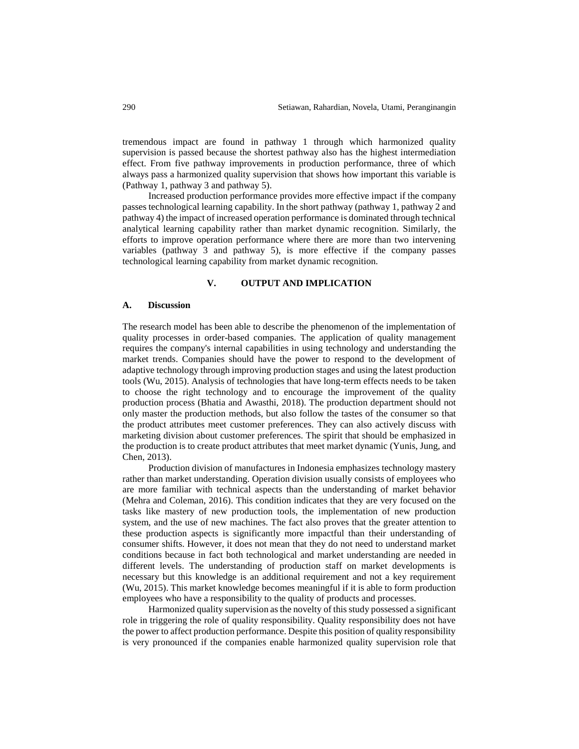tremendous impact are found in pathway 1 through which harmonized quality supervision is passed because the shortest pathway also has the highest intermediation effect. From five pathway improvements in production performance, three of which always pass a harmonized quality supervision that shows how important this variable is (Pathway 1, pathway 3 and pathway 5).

Increased production performance provides more effective impact if the company passes technological learning capability. In the short pathway (pathway 1, pathway 2 and pathway 4) the impact of increased operation performance is dominated through technical analytical learning capability rather than market dynamic recognition. Similarly, the efforts to improve operation performance where there are more than two intervening variables (pathway 3 and pathway 5), is more effective if the company passes technological learning capability from market dynamic recognition.

# **V. OUTPUT AND IMPLICATION**

#### **A. Discussion**

The research model has been able to describe the phenomenon of the implementation of quality processes in order-based companies. The application of quality management requires the company's internal capabilities in using technology and understanding the market trends. Companies should have the power to respond to the development of adaptive technology through improving production stages and using the latest production tools (Wu, 2015). Analysis of technologies that have long-term effects needs to be taken to choose the right technology and to encourage the improvement of the quality production process (Bhatia and Awasthi, 2018). The production department should not only master the production methods, but also follow the tastes of the consumer so that the product attributes meet customer preferences. They can also actively discuss with marketing division about customer preferences. The spirit that should be emphasized in the production is to create product attributes that meet market dynamic (Yunis, Jung, and Chen, 2013).

Production division of manufactures in Indonesia emphasizes technology mastery rather than market understanding. Operation division usually consists of employees who are more familiar with technical aspects than the understanding of market behavior (Mehra and Coleman, 2016). This condition indicates that they are very focused on the tasks like mastery of new production tools, the implementation of new production system, and the use of new machines. The fact also proves that the greater attention to these production aspects is significantly more impactful than their understanding of consumer shifts. However, it does not mean that they do not need to understand market conditions because in fact both technological and market understanding are needed in different levels. The understanding of production staff on market developments is necessary but this knowledge is an additional requirement and not a key requirement (Wu, 2015). This market knowledge becomes meaningful if it is able to form production employees who have a responsibility to the quality of products and processes.

Harmonized quality supervision as the novelty of this study possessed a significant role in triggering the role of quality responsibility. Quality responsibility does not have the power to affect production performance. Despite this position of quality responsibility is very pronounced if the companies enable harmonized quality supervision role that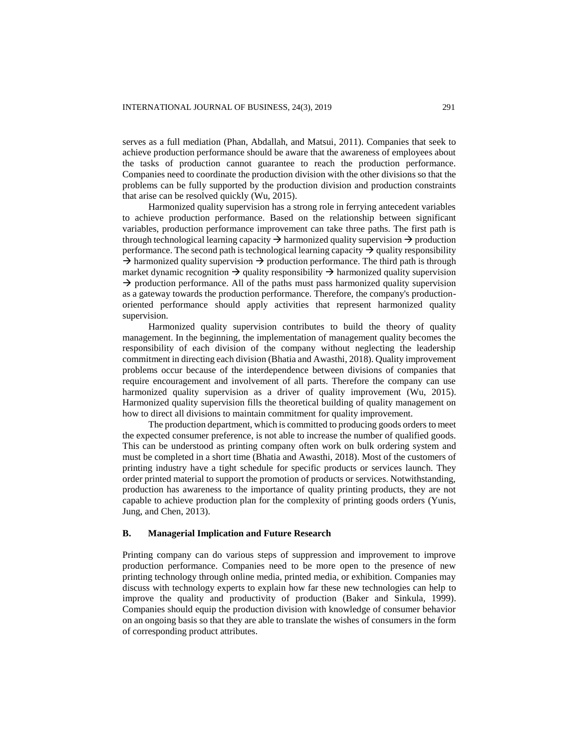serves as a full mediation (Phan, Abdallah, and Matsui, 2011). Companies that seek to achieve production performance should be aware that the awareness of employees about the tasks of production cannot guarantee to reach the production performance. Companies need to coordinate the production division with the other divisions so that the problems can be fully supported by the production division and production constraints that arise can be resolved quickly (Wu, 2015).

Harmonized quality supervision has a strong role in ferrying antecedent variables to achieve production performance. Based on the relationship between significant variables, production performance improvement can take three paths. The first path is through technological learning capacity  $\rightarrow$  harmonized quality supervision  $\rightarrow$  production performance. The second path is technological learning capacity  $\rightarrow$  quality responsibility  $\rightarrow$  harmonized quality supervision  $\rightarrow$  production performance. The third path is through market dynamic recognition  $\rightarrow$  quality responsibility  $\rightarrow$  harmonized quality supervision  $\rightarrow$  production performance. All of the paths must pass harmonized quality supervision as a gateway towards the production performance. Therefore, the company's productionoriented performance should apply activities that represent harmonized quality supervision.

Harmonized quality supervision contributes to build the theory of quality management. In the beginning, the implementation of management quality becomes the responsibility of each division of the company without neglecting the leadership commitment in directing each division (Bhatia and Awasthi, 2018). Quality improvement problems occur because of the interdependence between divisions of companies that require encouragement and involvement of all parts. Therefore the company can use harmonized quality supervision as a driver of quality improvement (Wu, 2015). Harmonized quality supervision fills the theoretical building of quality management on how to direct all divisions to maintain commitment for quality improvement.

The production department, which is committed to producing goods orders to meet the expected consumer preference, is not able to increase the number of qualified goods. This can be understood as printing company often work on bulk ordering system and must be completed in a short time (Bhatia and Awasthi, 2018). Most of the customers of printing industry have a tight schedule for specific products or services launch. They order printed material to support the promotion of products or services. Notwithstanding, production has awareness to the importance of quality printing products, they are not capable to achieve production plan for the complexity of printing goods orders (Yunis, Jung, and Chen, 2013).

## **B. Managerial Implication and Future Research**

Printing company can do various steps of suppression and improvement to improve production performance. Companies need to be more open to the presence of new printing technology through online media, printed media, or exhibition. Companies may discuss with technology experts to explain how far these new technologies can help to improve the quality and productivity of production (Baker and Sinkula, 1999). Companies should equip the production division with knowledge of consumer behavior on an ongoing basis so that they are able to translate the wishes of consumers in the form of corresponding product attributes.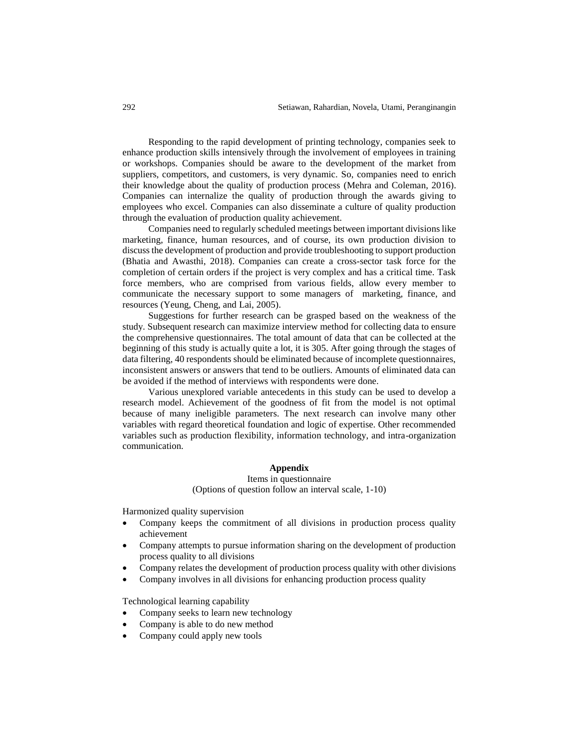Responding to the rapid development of printing technology, companies seek to enhance production skills intensively through the involvement of employees in training or workshops. Companies should be aware to the development of the market from suppliers, competitors, and customers, is very dynamic. So, companies need to enrich their knowledge about the quality of production process (Mehra and Coleman, 2016). Companies can internalize the quality of production through the awards giving to employees who excel. Companies can also disseminate a culture of quality production through the evaluation of production quality achievement.

Companies need to regularly scheduled meetings between important divisions like marketing, finance, human resources, and of course, its own production division to discuss the development of production and provide troubleshooting to support production (Bhatia and Awasthi, 2018). Companies can create a cross-sector task force for the completion of certain orders if the project is very complex and has a critical time. Task force members, who are comprised from various fields, allow every member to communicate the necessary support to some managers of marketing, finance, and resources (Yeung, Cheng, and Lai, 2005).

Suggestions for further research can be grasped based on the weakness of the study. Subsequent research can maximize interview method for collecting data to ensure the comprehensive questionnaires. The total amount of data that can be collected at the beginning of this study is actually quite a lot, it is 305. After going through the stages of data filtering, 40 respondents should be eliminated because of incomplete questionnaires, inconsistent answers or answers that tend to be outliers. Amounts of eliminated data can be avoided if the method of interviews with respondents were done.

Various unexplored variable antecedents in this study can be used to develop a research model. Achievement of the goodness of fit from the model is not optimal because of many ineligible parameters. The next research can involve many other variables with regard theoretical foundation and logic of expertise. Other recommended variables such as production flexibility, information technology, and intra-organization communication.

## **Appendix**

Items in questionnaire (Options of question follow an interval scale, 1-10)

Harmonized quality supervision

- Company keeps the commitment of all divisions in production process quality achievement
- Company attempts to pursue information sharing on the development of production process quality to all divisions
- Company relates the development of production process quality with other divisions
- Company involves in all divisions for enhancing production process quality

Technological learning capability

- Company seeks to learn new technology
- Company is able to do new method
- Company could apply new tools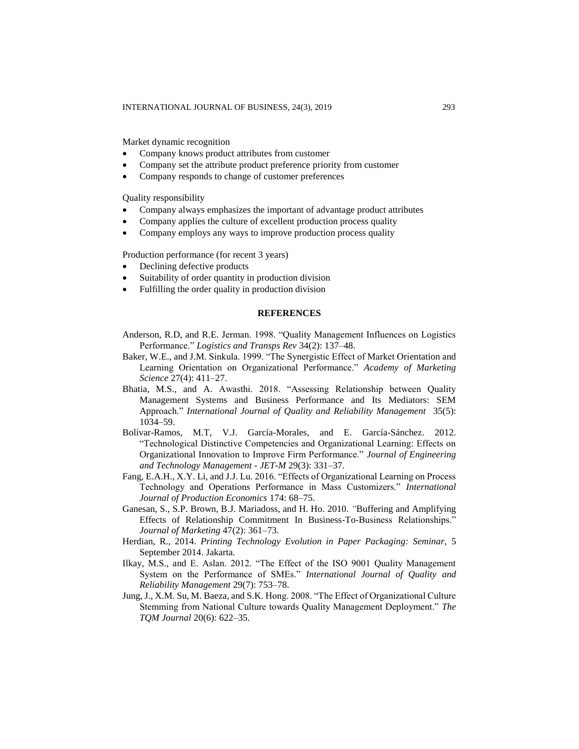Market dynamic recognition

- Company knows product attributes from customer
- Company set the attribute product preference priority from customer
- Company responds to change of customer preferences

Quality responsibility

- Company always emphasizes the important of advantage product attributes
- Company applies the culture of excellent production process quality
- Company employs any ways to improve production process quality

Production performance (for recent 3 years)

- Declining defective products
- Suitability of order quantity in production division
- Fulfilling the order quality in production division

# **REFERENCES**

- Anderson, R.D, and R.E. Jerman. 1998. "Quality Management Influences on Logistics Performance." *Logistics and Transps Rev* 34(2): 137–48.
- Baker, W.E., and J.M. Sinkula. 1999. "The Synergistic Effect of Market Orientation and Learning Orientation on Organizational Performance." *Academy of Marketing Science* 27(4): 411–27.
- Bhatia, M.S., and A. Awasthi. 2018. "Assessing Relationship between Quality Management Systems and Business Performance and Its Mediators: SEM Approach." *International Journal of Quality and Reliability Management* 35(5): 1034–59.
- Bolívar-Ramos, M.T, V.J. García-Morales, and E. García-Sánchez. 2012. "Technological Distinctive Competencies and Organizational Learning: Effects on Organizational Innovation to Improve Firm Performance." *Journal of Engineering and Technology Management - JET-M* 29(3): 331–37.
- Fang, E.A.H., X.Y. Li, and J.J. Lu. 2016. "Effects of Organizational Learning on Process Technology and Operations Performance in Mass Customizers." *International Journal of Production Economics* 174: 68–75.
- Ganesan, S., S.P. Brown, B.J. Mariadoss, and H. Ho. 2010. *"*Buffering and Amplifying Effects of Relationship Commitment In Business-To-Business Relationships." *Journal of Marketing* 47(2): 361–73.
- Herdian, R., 2014. *Printing Technology Evolution in Paper Packaging: Seminar,* 5 September 2014. Jakarta.
- Ilkay, M.S., and E. Aslan. 2012. "The Effect of the ISO 9001 Quality Management System on the Performance of SMEs." *International Journal of Quality and Reliability Management* 29(7): 753–78.
- Jung, J., X.M. Su, M. Baeza, and S.K. Hong. 2008. "The Effect of Organizational Culture Stemming from National Culture towards Quality Management Deployment." *The TQM Journal* 20(6): 622–35.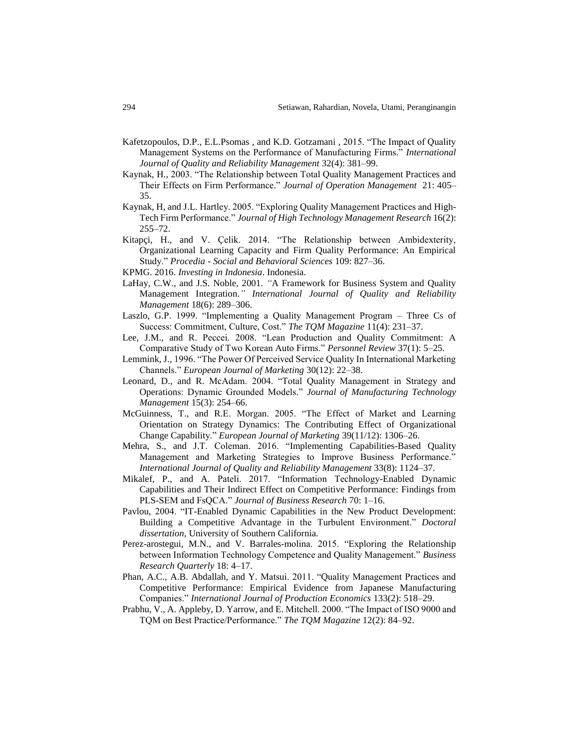- Kafetzopoulos, D.P., E.L.Psomas , and K.D. Gotzamani , 2015. "The Impact of Quality Management Systems on the Performance of Manufacturing Firms." *International Journal of Quality and Reliability Management* 32(4): 381–99.
- Kaynak, H., 2003. "The Relationship between Total Quality Management Practices and Their Effects on Firm Performance." *Journal of Operation Management* 21: 405– 35.
- Kaynak, H, and J.L. Hartley. 2005. "Exploring Quality Management Practices and High-Tech Firm Performance." *Journal of High Technology Management Research* 16(2): 255–72.
- Kitapçi, H., and V. Çelik. 2014. "The Relationship between Ambidexterity, Organizational Learning Capacity and Firm Quality Performance: An Empirical Study." *Procedia - Social and Behavioral Sciences* 109: 827–36.
- KPMG. 2016. *Investing in Indonesia*. Indonesia.
- LaHay, C.W., and J.S. Noble, 2001. *"*A Framework for Business System and Quality Management Integration.*" International Journal of Quality and Reliability Management* 18(6): 289–306.
- Laszlo, G.P. 1999. "Implementing a Quality Management Program Three Cs of Success: Commitment, Culture, Cost." *The TQM Magazine* 11(4): 231–37.
- Lee, J.M., and R. Peccei. 2008. "Lean Production and Quality Commitment: A Comparative Study of Two Korean Auto Firms." *Personnel Review* 37(1): 5–25.
- Lemmink, J., 1996. "The Power Of Perceived Service Quality In International Marketing Channels." *European Journal of Marketing* 30(12): 22–38.
- Leonard, D., and R. McAdam. 2004. "Total Quality Management in Strategy and Operations: Dynamic Grounded Models." *Journal of Manufacturing Technology Management* 15(3): 254–66.
- McGuinness, T., and R.E. Morgan. 2005. "The Effect of Market and Learning Orientation on Strategy Dynamics: The Contributing Effect of Organizational Change Capability." *European Journal of Marketing* 39(11/12): 1306–26.
- Mehra, S., and J.T. Coleman. 2016. "Implementing Capabilities-Based Quality Management and Marketing Strategies to Improve Business Performance." *International Journal of Quality and Reliability Management* 33(8): 1124–37.
- Mikalef, P., and A. Pateli. 2017. "Information Technology-Enabled Dynamic Capabilities and Their Indirect Effect on Competitive Performance: Findings from PLS-SEM and FsQCA." *Journal of Business Research* 70: 1–16.
- Pavlou, 2004. "IT-Enabled Dynamic Capabilities in the New Product Development: Building a Competitive Advantage in the Turbulent Environment." *Doctoral dissertation,* University of Southern California.
- Perez-arostegui, M.N., and V. Barrales-molina. 2015. "Exploring the Relationship between Information Technology Competence and Quality Management." *Business Research Quarterly* 18: 4–17.
- Phan, A.C., A.B. Abdallah, and Y. Matsui. 2011. "Quality Management Practices and Competitive Performance: Empirical Evidence from Japanese Manufacturing Companies." *International Journal of Production Economics* 133(2): 518–29.
- Prabhu, V., A. Appleby, D. Yarrow, and E. Mitchell. 2000. "The Impact of ISO 9000 and TQM on Best Practice/Performance." *The TQM Magazine* 12(2): 84–92.